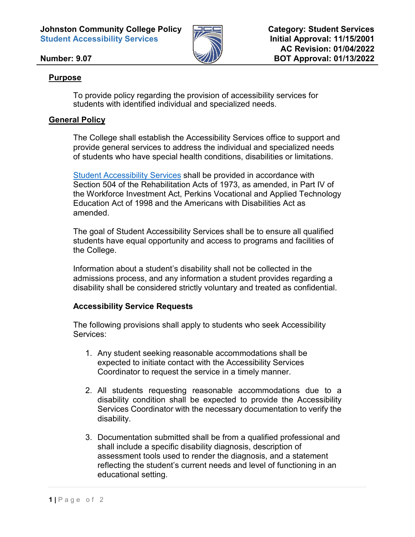**Johnston Community College Policy Student Accessibility Services**



**Category: Student Services Initial Approval: 11/15/2001 AC Revision: 01/04/2022 BOT Approval: 01/13/2022**

## **Number: 9.07**

## **Purpose**

To provide policy regarding the provision of accessibility services for students with identified individual and specialized needs.

## **General Policy**

The College shall establish the Accessibility Services office to support and provide general services to address the individual and specialized needs of students who have special health conditions, disabilities or limitations.

[Student Accessibility Services](https://www.johnstoncc.edu/studentresources/disability-services/) shall be provided in accordance with [Section 504 of the Rehabilitation Acts of 1973,](https://www.dol.gov/agencies/oasam/centers-offices/civil-rights-center/statutes/section-504-rehabilitation-act-of-1973) as amended, in [Part IV of](https://www.dol.gov/agencies/eta/wioa)  [the Workforce Investment Act,](https://www.dol.gov/agencies/eta/wioa) [Perkins Vocational and Applied Technology](https://www.congress.gov/bill/105th-congress/house-bill/1853)  [Education Act of 1998](https://www.congress.gov/bill/105th-congress/house-bill/1853) and the [Americans with Disabilities Act](https://www.ada.gov/pubs/adastatute08.htm) as amended.

The goal of Student Accessibility Services shall be to ensure all qualified students have equal opportunity and access to programs and facilities of the College.

Information about a student's disability shall not be collected in the admissions process, and any information a student provides regarding a disability shall be considered strictly voluntary and treated as confidential.

## **Accessibility Service Requests**

The following provisions shall apply to students who seek Accessibility Services:

- 1. Any student seeking reasonable accommodations shall be expected to initiate contact with the Accessibility Services Coordinator to request the service in a timely manner.
- 2. All students requesting reasonable accommodations due to a disability condition shall be expected to provide the Accessibility Services Coordinator with the necessary documentation to verify the disability.
- 3. Documentation submitted shall be from a qualified professional and shall include a specific disability diagnosis, description of assessment tools used to render the diagnosis, and a statement reflecting the student's current needs and level of functioning in an educational setting.